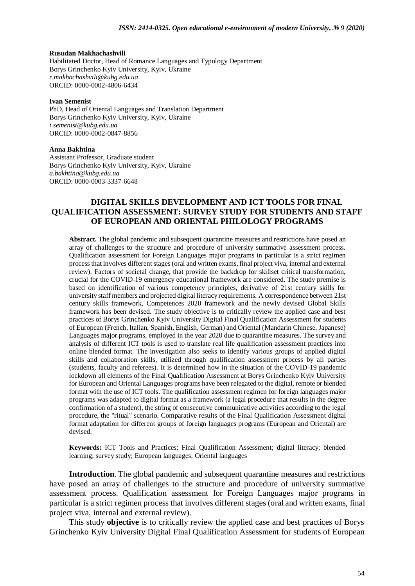## **Rusudan Makhachashvili**

Habilitated Doctor, Head of Romance Languages and Typology Department Borys Grinchenko Kyiv University, Kyiv, Ukraine *[r.makhachashvili@kubg.edu.ua](mailto:r.makhachashvili@kubg.edu.ua)* ORCID: 0000-0002-4806-6434

#### **Ivan Semenist**

PhD, Head of Oriental Languages and Translation Department Borys Grinchenko Kyiv University, Kyiv, Ukraine *[i.semenist@kubg.edu.ua](mailto:i.semenist@kubg.edu.ua)* ORCID: 0000-0002-0847-8856

#### **Anna Bakhtina**

Assistant Professor, Graduate student Borys Grinchenko Kyiv University, Kyiv, Ukraine *a.bakhtina@kubg.edu.ua* ORCID: 0000-0003-3337-6648

## **DIGITAL SKILLS DEVELOPMENT AND ICT TOOLS FOR FINAL QUALIFICATION ASSESSMENT: SURVEY STUDY FOR STUDENTS AND STAFF OF EUROPEAN AND ORIENTAL PHILOLOGY PROGRAMS**

**Abstract.** The global pandemic and subsequent quarantine measures and restrictions have posed an array of challenges to the structure and procedure of university summative assessment process. Qualification assessment for Foreign Languages major programs in particular is a strict regimen process that involves different stages (oral and written exams, final project viva, internal and external review). Factors of societal change, that provide the backdrop for skillset critical transformation, crucial for the COVID-19 emergency educational framework are considered. The study premise is based on identification of various competency principles, derivative of 21st century skills for university staff members and projected digital literacy requirements. A correspondence between 21st century skills framework, Competences 2020 framework and the newly devised Global Skills framework has been devised. The study objective is to critically review the applied case and best practices of Borys Grinchenko Kyiv University Digital Final Qualification Assessment for students of European (French, Italian, Spanish, English, German) and Oriental (Mandarin Chinese, Japanese) Languages major programs, employed in the year 2020 due to quarantine measures. The survey and analysis of different ICT tools is used to translate real life qualification assessment practices into online blended format. The investigation also seeks to identify various groups of applied digital skills and collaboration skills, utilized through qualification assessment process by all parties (students, faculty and referees). It is determined how in the situation of the COVID-19 pandemic lockdown all elements of the Final Qualification Assessment at Borys Grinchenko Kyiv University for European and Oriental Languages programs have been relegated to the digital, remote or blended format with the use of ICT tools. The qualification assessment regimen for foreign languages major programs was adapted to digital format as a framework (a legal procedure that results in the degree confirmation of a student), the string of consecutive communicative activities according to the legal procedure, the "ritual" scenario. Comparative results of the Final Qualification Assessment digital format adaptation for different groups of foreign languages programs (European and Oriental) are devised.

**Keywords:** ICT Tools and Practices; Final Qualification Assessment; digital literacy; blended learning; survey study; European languages; Oriental languages

**Introduction**. The global pandemic and subsequent quarantine measures and restrictions have posed an array of challenges to the structure and procedure of university summative assessment process. Qualification assessment for Foreign Languages major programs in particular is a strict regimen process that involves different stages (oral and written exams, final project viva, internal and external review).

This study **objective** is to critically review the applied case and best practices of Borys Grinchenko Kyiv University Digital Final Qualification Assessment for students of European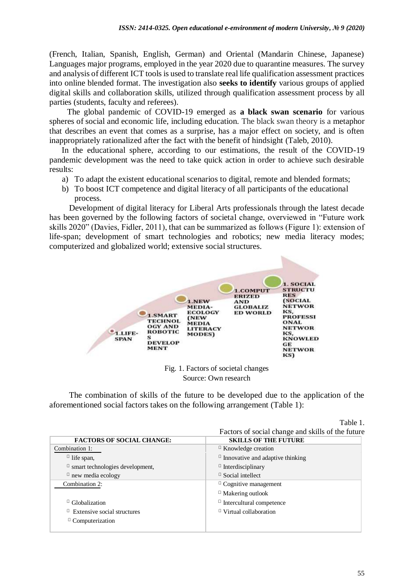(French, Italian, Spanish, English, German) and Oriental (Mandarin Chinese, Japanese) Languages major programs, employed in the year 2020 due to quarantine measures. The survey and analysis of different ICT tools is used to translate real life qualification assessment practices into online blended format. The investigation also **seeks to identify** various groups of applied digital skills and collaboration skills, utilized through qualification assessment process by all parties (students, faculty and referees).

The global pandemic of COVID-19 emerged as **a black swan scenario** for various spheres of social and economic life, including education. The black swan theory is a [metaphor](https://en.wikipedia.org/wiki/Metaphor)  that describes an event that comes as a surprise, has a major effect on society, and is often inappropriately rationalized after the fact with the benefit of [hindsight \(](https://en.wikipedia.org/wiki/Hindsight)Taleb, 2010).

In the educational sphere, according to our estimations, the result of the COVID-19 pandemic development was the need to take quick action in order to achieve such desirable results:

- a) To adapt the existent educational scenarios to digital, remote and blended formats;
- b) To boost ICT competence and digital literacy of all participants of the educational process.

Development of digital literacy for Liberal Arts professionals through the latest decade has been governed by the following factors of societal change, overviewed in "Future work skills 2020" (Davies, Fidler, 2011), that can be summarized as follows (Figure 1): extension of life-span; development of smart technologies and robotics; new media literacy modes; computerized and globalized world; extensive social structures.



Fig. 1. Factors of societal changes Source: Own research

The combination of skills of the future to be developed due to the application of the aforementioned social factors takes on the following arrangement (Table 1):

|                                        | rabie i.                                          |
|----------------------------------------|---------------------------------------------------|
|                                        | Factors of social change and skills of the future |
| <b>FACTORS OF SOCIAL CHANGE:</b>       | <b>SKILLS OF THE FUTURE</b>                       |
| Combination 1:                         | $\Box$ Knowledge creation                         |
| $\Box$ life span,                      | $\Box$ Innovative and adaptive thinking           |
| $\Box$ smart technologies development, | $\Box$ Interdisciplinary                          |
| $\Box$ new media ecology               | <sup>D</sup> Social intellect                     |
| Combination 2:                         | $\Box$ Cognitive management                       |
|                                        | <sup>D</sup> Makering outlook                     |
| <sup>[1</sup> Globalization]           | $\Box$ Intercultural competence                   |
| $\Box$ Extensive social structures     | $\Box$ Virtual collaboration                      |
| <sup>□</sup> Computerization           |                                                   |
|                                        |                                                   |

Table 1.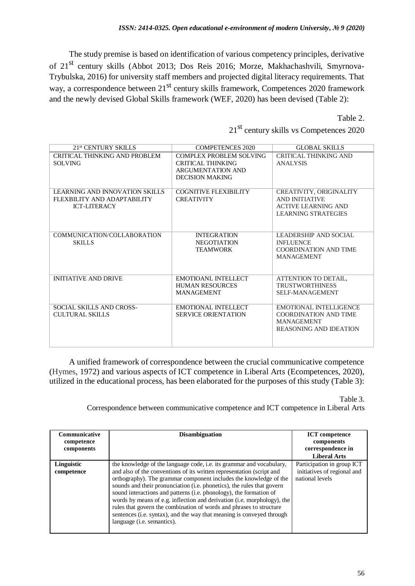The study premise is based on identification of various competency principles, derivative of 21st century skills (Abbot 2013; Dos Reis 2016; Morze, Makhachashvili, Smyrnova-Trybulska, 2016) for university staff members and projected digital literacy requirements. That way, a correspondence between 21<sup>st</sup> century skills framework, Competences 2020 framework and the newly devised Global Skills framework (WEF, 2020) has been devised (Table 2):

Table 2.

| 2.1 <sup>st</sup> CENTURY SKILLS                                                     | <b>COMPETENCES 2020</b>                                                                                   | GLOBAL SKILLS                                                                                                       |
|--------------------------------------------------------------------------------------|-----------------------------------------------------------------------------------------------------------|---------------------------------------------------------------------------------------------------------------------|
| CRITICAL THINKING AND PROBLEM<br><b>SOLVING</b>                                      | <b>COMPLEX PROBLEM SOLVING</b><br>CRITICAL THINKING<br><b>ARGUMENTATION AND</b><br><b>DECISION MAKING</b> | <b>CRITICAL THINKING AND</b><br>ANALYSIS                                                                            |
| LEARNING AND INNOVATION SKILLS<br>FLEXBILITY AND ADAPTABILITY<br><b>ICT-LITERACY</b> | COGNITIVE FLEXIBILITY<br><b>CREATIVITY</b>                                                                | <b>CREATIVITY, ORIGINALITY</b><br>AND INITIATIVE<br><b>ACTIVE LEARNING AND</b><br><b>LEARNING STRATEGIES</b>        |
| COMMUNICATION/COLLABORATION<br><b>SKILLS</b>                                         | <b>INTEGRATION</b><br><b>NEGOTIATION</b><br><b>TEAMWORK</b>                                               | LEADERSHIP AND SOCIAL<br><b>INFLUENCE</b><br><b>COORDINATION AND TIME</b><br><b>MANAGEMENT</b>                      |
| <b>INITIATIVE AND DRIVE</b>                                                          | EMOTIOANL INTELLECT<br><b>HUMAN RESOURCES</b><br><b>MANAGEMENT</b>                                        | ATTENTION TO DETAIL,<br><b>TRUSTWORTHINESS</b><br><b>SELF-MANAGEMENT</b>                                            |
| SOCIAL SKILLS AND CROSS-<br>CULTURAL SKILLS                                          | EMOTIONAL INTELLECT<br><b>SERVICE ORIENTATION</b>                                                         | <b>EMOTIONAL INTELLIGENCE</b><br><b>COORDINATION AND TIME</b><br><b>MANAGEMENT</b><br><b>REASONING AND IDEATION</b> |

21st century skills vs Competences 2020

A unified framework of correspondence between the crucial communicative competence (Hymes, 1972) and various aspects of ICT competence in Liberal Arts [\(Ecompetences, 2](https://www.ecompetences.eu/)020), utilized in the educational process, has been elaborated for the purposes of this study (Table 3):

Table 3.

Correspondence between communicative competence and ICT competence in Liberal Arts

| Communicative<br>competence<br>components | <b>Disambiguation</b>                                                                                                                                                                                                                                                                                                                                                                                                                                                                                                                                                                                                               | <b>ICT</b> competence<br>components<br>correspondence in<br><b>Liberal Arts</b> |
|-------------------------------------------|-------------------------------------------------------------------------------------------------------------------------------------------------------------------------------------------------------------------------------------------------------------------------------------------------------------------------------------------------------------------------------------------------------------------------------------------------------------------------------------------------------------------------------------------------------------------------------------------------------------------------------------|---------------------------------------------------------------------------------|
| Linguistic<br>competence                  | the knowledge of the language code, i.e. its grammar and vocabulary,<br>and also of the conventions of its written representation (script and<br>orthography). The grammar component includes the knowledge of the<br>sounds and their pronunciation (i.e. phonetics), the rules that govern<br>sound interactions and patterns (i.e. phonology), the formation of<br>words by means of e.g. inflection and derivation (i.e. morphology), the<br>rules that govern the combination of words and phrases to structure<br>sentences (i.e. syntax), and the way that meaning is conveyed through<br>language ( <i>i.e.</i> semantics). | Participation in group ICT<br>initiatives of regional and<br>national levels    |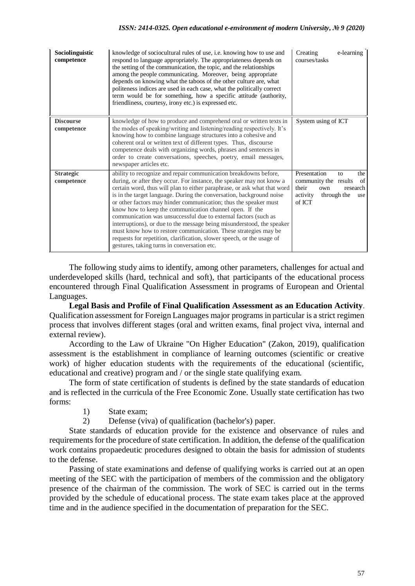| Sociolinguistic<br>competence  | knowledge of sociocultural rules of use, <i>i.e.</i> knowing how to use and<br>respond to language appropriately. The appropriateness depends on<br>the setting of the communication, the topic, and the relationships<br>among the people communicating. Moreover, being appropriate<br>depends on knowing what the taboos of the other culture are, what<br>politeness indices are used in each case, what the politically correct<br>term would be for something, how a specific attitude (authority,<br>friendliness, courtesy, irony etc.) is expressed etc.                                                                                                                                                                                                     | Creating<br>e-learning<br>courses/tasks                                                                                          |
|--------------------------------|-----------------------------------------------------------------------------------------------------------------------------------------------------------------------------------------------------------------------------------------------------------------------------------------------------------------------------------------------------------------------------------------------------------------------------------------------------------------------------------------------------------------------------------------------------------------------------------------------------------------------------------------------------------------------------------------------------------------------------------------------------------------------|----------------------------------------------------------------------------------------------------------------------------------|
| <b>Discourse</b><br>competence | knowledge of how to produce and comprehend oral or written texts in<br>the modes of speaking/writing and listening/reading respectively. It's<br>knowing how to combine language structures into a cohesive and<br>coherent oral or written text of different types. Thus, discourse<br>competence deals with organizing words, phrases and sentences in<br>order to create conversations, speeches, poetry, email messages,<br>newspaper articles etc.                                                                                                                                                                                                                                                                                                               | System using of ICT                                                                                                              |
| <b>Strategic</b><br>competence | ability to recognize and repair communication breakdowns before,<br>during, or after they occur. For instance, the speaker may not know a<br>certain word, thus will plan to either paraphrase, or ask what that word<br>is in the target language. During the conversation, background noise<br>or other factors may hinder communication; thus the speaker must<br>know how to keep the communication channel open. If the<br>communication was unsuccessful due to external factors (such as<br>interruptions), or due to the message being misunderstood, the speaker<br>must know how to restore communication. These strategies may be<br>requests for repetition, clarification, slower speech, or the usage of<br>gestures, taking turns in conversation etc. | Presentation<br>the<br>to<br>of<br>community the results<br>their<br>research<br>own<br>through the<br>activity<br>use<br>of ICT |

The following study aims to identify, among other parameters, challenges for actual and underdeveloped skills (hard, technical and soft), that participants of the educational process encountered through Final Qualification Assessment in programs of European and Oriental Languages.

**Legal Basis and Profile of Final Qualification Assessment as an Education Activity**. Qualification assessment for Foreign Languages major programs in particular is a strict regimen process that involves different stages (oral and written exams, final project viva, internal and external review).

According to the Law of Ukraine "On Higher Education" (Zakon, 2019), qualification assessment is the establishment in compliance of learning outcomes (scientific or creative work) of higher education students with the requirements of the educational (scientific, educational and creative) program and / or the single state qualifying exam.

The form of state certification of students is defined by the state standards of education and is reflected in the curricula of the Free Economic Zone. Usually state certification has two forms:

- 1) State exam;
- 2) Defense (viva) of qualification (bachelor's) paper.

State standards of education provide for the existence and observance of rules and requirements for the procedure of state certification. In addition, the defense of the qualification work contains propaedeutic procedures designed to obtain the basis for admission of students to the defense.

Passing of state examinations and defense of qualifying works is carried out at an open meeting of the SEC with the participation of members of the commission and the obligatory presence of the chairman of the commission. The work of SEC is carried out in the terms provided by the schedule of educational process. The state exam takes place at the approved time and in the audience specified in the documentation of preparation for the SEC.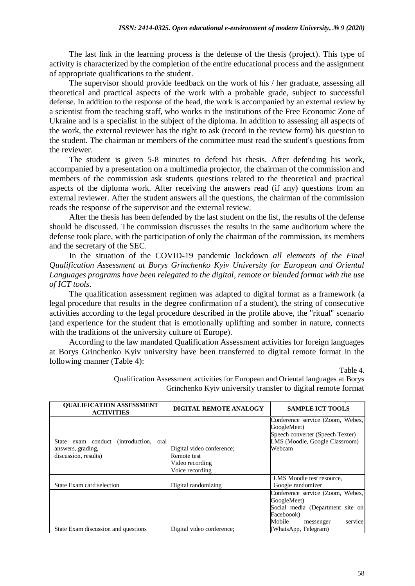The last link in the learning process is the defense of the thesis (project). This type of activity is characterized by the completion of the entire educational process and the assignment of appropriate qualifications to the student.

The supervisor should provide feedback on the work of his / her graduate, assessing all theoretical and practical aspects of the work with a probable grade, subject to successful defense. In addition to the response of the head, the work is accompanied by an external review by a scientist from the teaching staff, who works in the institutions of the Free Economic Zone of Ukraine and is a specialist in the subject of the diploma. In addition to assessing all aspects of the work, the external reviewer has the right to ask (record in the review form) his question to the student. The chairman or members of the committee must read the student's questions from the reviewer.

The student is given 5-8 minutes to defend his thesis. After defending his work, accompanied by a presentation on a multimedia projector, the chairman of the commission and members of the commission ask students questions related to the theoretical and practical aspects of the diploma work. After receiving the answers read (if any) questions from an external reviewer. After the student answers all the questions, the chairman of the commission reads the response of the supervisor and the external review.

After the thesis has been defended by the last student on the list, the results of the defense should be discussed. The commission discusses the results in the same auditorium where the defense took place, with the participation of only the chairman of the commission, its members and the secretary of the SEC.

In the situation of the COVID-19 pandemic lockdown *all elements of the Final Qualification Assessment at Borys Grinchenko Kyiv University for European and Oriental Languages programs have been relegated to the digital, remote or blended format with the use of ICT tools*.

The qualification assessment regimen was adapted to digital format as a framework (a legal procedure that results in the degree confirmation of a student), the string of consecutive activities according to the legal procedure described in the profile above, the "ritual" scenario (and experience for the student that is emotionally uplifting and somber in nature, connects with the traditions of the university culture of Europe).

According to the law mandated Qualification Assessment activities for foreign languages at Borys Grinchenko Kyiv university have been transferred to digital remote format in the following manner (Table 4):

Table 4.

| <b>QUALIFICATION ASSESSMENT</b><br><b>ACTIVITIES</b>                                | <b>DIGITAL REMOTE ANALOGY</b>                                                  | <b>SAMPLE ICT TOOLS</b>                                                                                                                                     |
|-------------------------------------------------------------------------------------|--------------------------------------------------------------------------------|-------------------------------------------------------------------------------------------------------------------------------------------------------------|
| State exam conduct (introduction, oral<br>answers, grading,<br>discussion, results) | Digital video conference;<br>Remote test<br>Video recording<br>Voice recording | Conference service (Zoom, Webex,<br>GoogleMeet)<br>Speech converter (Speech Texter)<br>LMS (Moodle, Google Classroom)<br>Webcam                             |
| State Exam card selection                                                           | Digital randomizing                                                            | LMS Moodle test resource,<br>Google randomizer                                                                                                              |
| State Exam discussion and questions                                                 | Digital video conference;                                                      | Conference service (Zoom, Webex,<br>GoogleMeet)<br>Social media (Department site on<br>Faceboook)<br>Mobile<br>service<br>messenger<br>(WhatsApp, Telegram) |

Qualification Assessment activities for European and Oriental languages at Borys Grinchenko Kyiv university transfer to digital remote format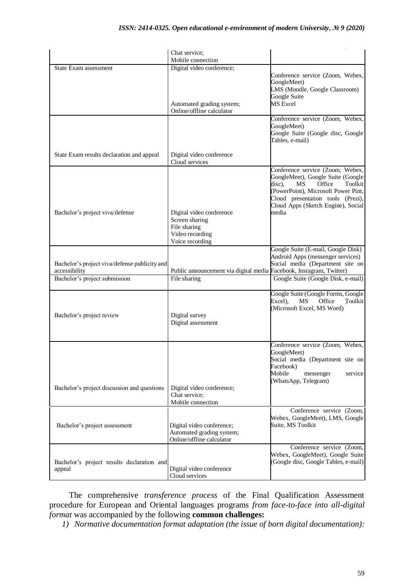|                                                                | Chat service;                                                                                    |                                                                                                                                                                                                                                              |
|----------------------------------------------------------------|--------------------------------------------------------------------------------------------------|----------------------------------------------------------------------------------------------------------------------------------------------------------------------------------------------------------------------------------------------|
|                                                                | Mobile connection                                                                                |                                                                                                                                                                                                                                              |
| State Exam assessment                                          | Digital video conference;<br>Automated grading system;                                           | Conference service (Zoom, Webex,<br>GoogleMeet)<br>LMS (Moodle, Google Classroom)<br>Google Suite<br><b>MS</b> Excel                                                                                                                         |
|                                                                | Online/offline calculator                                                                        |                                                                                                                                                                                                                                              |
|                                                                |                                                                                                  | Conference service (Zoom, Webex,<br>GoogleMeet)<br>Google Suite (Google disc, Google<br>Tables, e-mail)                                                                                                                                      |
| State Exam results declaration and appeal                      | Digital video conference<br>Cloud services                                                       |                                                                                                                                                                                                                                              |
| Bachelor's project viva/defense                                | Digital video conference<br>Screen sharing<br>File sharing<br>Video recording<br>Voice recording | Conference service (Zoom, Webex,<br>GoogleMeet), Google Suite (Google<br>disc),<br><b>MS</b><br>Office<br>Toolkit<br>(PowerPoint), Microsoft Power Pint,<br>Cloud presentation tools (Prezi),<br>Cloud Apps (Sketch Engine), Social<br>media |
|                                                                |                                                                                                  | Google Suite (E-mail, Google Disk)                                                                                                                                                                                                           |
| Bachelor's project viva/defense publicity and<br>accessibility | Public announcement via digital media Facebook, Instagram, Twitter)                              | Android Apps (messenger services)<br>Social media (Department site on                                                                                                                                                                        |
| Bachelor's project submission                                  | File sharing                                                                                     | Google Suite (Google Disk, e-mail)                                                                                                                                                                                                           |
| Bachelor's project review                                      | Digital survey<br>Digital assessment                                                             | Google Suite (Google Forms, Google<br>Excel),<br>Office<br>Toolkit<br>MS<br>(Microsoft Excel, MS Word)                                                                                                                                       |
| Bachelor's project discussion and questions                    | Digital video conference;<br>Chat service;                                                       | Conference service (Zoom, Webex,<br>GoogleMeet)<br>Social media (Department site on<br>Facebook)<br>Mobile<br>messenger<br>service<br>(WhatsApp, Telegram)                                                                                   |
|                                                                | Mobile connection                                                                                |                                                                                                                                                                                                                                              |
| Bachelor's project assessment                                  | Digital video conference;<br>Automated grading system;<br>Online/offline calculator              | Conference service (Zoom,<br>Webex, GoogleMeet), LMS, Google<br>Suite, MS Toolkit                                                                                                                                                            |
| Bachelor's project results declaration and<br>appeal           | Digital video conference<br>Cloud services                                                       | Conference service (Zoom,<br>Webex, GoogleMeet), Google Suite<br>(Google disc, Google Tables, e-mail)                                                                                                                                        |

The comprehensive *transference process* of the Final Qualification Assessment procedure for European and Oriental languages programs *from face-to-face into all-digital format* was accompanied by the following **common challenges:**

*1) Normative documentation format adaptation (the issue of born digital documentation):*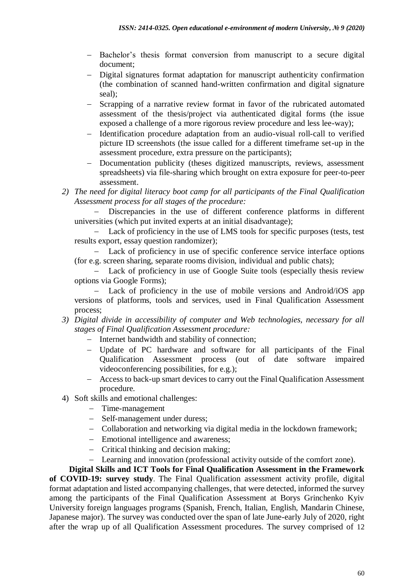- Bachelor's thesis format conversion from manuscript to a secure digital document;
- Digital signatures format adaptation for manuscript authenticity confirmation (the combination of scanned hand-written confirmation and digital signature seal);
- Scrapping of a narrative review format in favor of the rubricated automated assessment of the thesis/project via authenticated digital forms (the issue exposed a challenge of a more rigorous review procedure and less lee-way);
- Identification procedure adaptation from an audio-visual roll-call to verified picture ID screenshots (the issue called for a different timeframe set-up in the assessment procedure, extra pressure on the participants);
- Documentation publicity (theses digitized manuscripts, reviews, assessment spreadsheets) via file-sharing which brought on extra exposure for peer-to-peer assessment.
- *2) The need for digital literacy boot camp for all participants of the Final Qualification Assessment process for all stages of the procedure:*

 Discrepancies in the use of different conference platforms in different universities (which put invited experts at an initial disadvantage);

 Lack of proficiency in the use of LMS tools for specific purposes (tests, test results export, essay question randomizer);

 Lack of proficiency in use of specific conference service interface options (for e.g. screen sharing, separate rooms division, individual and public chats);

 Lack of proficiency in use of Google Suite tools (especially thesis review options via Google Forms);

 Lack of proficiency in the use of mobile versions and Android/iOS app versions of platforms, tools and services, used in Final Qualification Assessment process;

- *3) Digital divide in accessibility of computer and Web technologies, necessary for all stages of Final Qualification Assessment procedure:*
	- Internet bandwidth and stability of connection;
	- Update of PC hardware and software for all participants of the Final Qualification Assessment process (out of date software impaired videoconferencing possibilities, for e.g.);
	- Access to back-up smart devices to carry out the Final Qualification Assessment procedure.
- 4) Soft skills and emotional challenges:
	- Time-management
	- Self-management under duress;
	- Collaboration and networking via digital media in the lockdown framework;
	- Emotional intelligence and awareness;
	- Critical thinking and decision making:
	- Learning and innovation (professional activity outside of the comfort zone).

**Digital Skills and ICT Tools for Final Qualification Assessment in the Framework of COVID-19: survey study**. The Final Qualification assessment activity profile, digital format adaptation and listed accompanying challenges, that were detected, informed the survey among the participants of the Final Qualification Assessment at Borys Grinchenko Kyiv University foreign languages programs (Spanish, French, Italian, English, Mandarin Chinese, Japanese major). The survey was conducted over the span of late June-early July of 2020, right after the wrap up of all Qualification Assessment procedures. The survey comprised of 12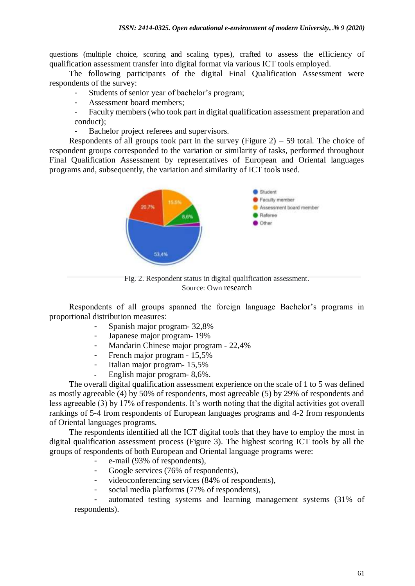questions (multiple choice, scoring and scaling types), crafted to assess the efficiency of qualification assessment transfer into digital format via various ICT tools employed.

The following participants of the digital Final Qualification Assessment were respondents of the survey:

- Students of senior year of bachelor's program;
- Assessment board members;
- Faculty members (who took part in digital qualification assessment preparation and conduct);
- Bachelor project referees and supervisors.

Respondents of all groups took part in the survey (Figure  $2$ ) – 59 total. The choice of respondent groups corresponded to the variation or similarity of tasks, performed throughout Final Qualification Assessment by representatives of European and Oriental languages programs and, subsequently, the variation and similarity of ICT tools used.



Fig. 2. Respondent status in digital qualification assessment. Source: Own research

Respondents of all groups spanned the foreign language Bachelor's programs in proportional distribution measures:

- Spanish major program- 32,8%
- Japanese major program- 19%
- Mandarin Chinese major program 22,4%
- French major program 15,5%
- Italian major program- 15,5%
- English major program- 8,6%.

The overall digital qualification assessment experience on the scale of 1 to 5 was defined as mostly agreeable (4) by 50% of respondents, most agreeable (5) by 29% of respondents and less agreeable (3) by 17% of respondents. It's worth noting that the digital activities got overall rankings of 5-4 from respondents of European languages programs and 4-2 from respondents of Oriental languages programs.

The respondents identified all the ICT digital tools that they have to employ the most in digital qualification assessment process (Figure 3). The highest scoring ICT tools by all the groups of respondents of both European and Oriental language programs were:

- e-mail (93% of respondents),
- Google services (76% of respondents),
- videoconferencing services (84% of respondents),
- social media platforms (77% of respondents),

- automated testing systems and learning management systems (31% of respondents).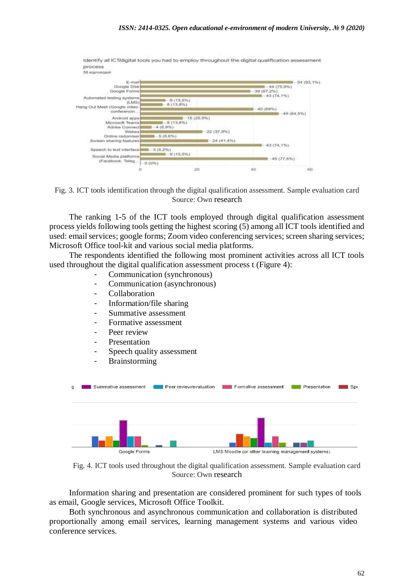

Identify all ICT/digital tools you had to employ throughout the digital qualification assessment process



The ranking 1-5 of the ICT tools employed through digital qualification assessment process yields following tools getting the highest scoring (5) among all ICT tools identified and used: email services; google forms; Zoom video conferencing services; screen sharing services; Microsoft Office tool-kit and various social media platforms.

The respondents identified the following most prominent activities across all ICT tools used throughout the digital qualification assessment process t (Figure 4):

- Communication (synchronous)
- Communication (asynchronous)
- Collaboration
- Information/file sharing
- Summative assessment
- Formative assessment
- Peer review
- Presentation
- Speech quality assessment
- Brainstorming



Fig. 4. ICT tools used throughout the digital qualification assessment. Sample evaluation card Source: Own research

Information sharing and presentation are considered prominent for such types of tools as email, Google services, Microsoft Office Toolkit.

Both synchronous and asynchronous communication and collaboration is distributed proportionally among email services, learning management systems and various video conference services.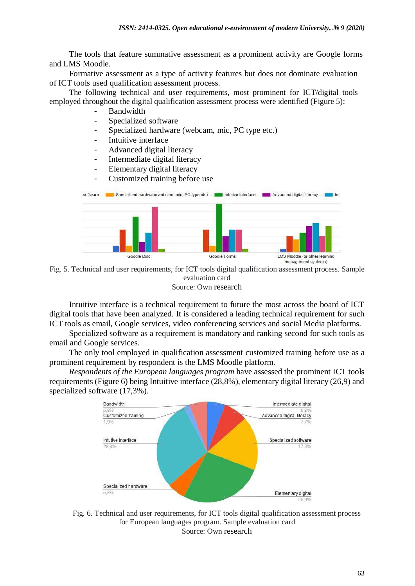The tools that feature summative assessment as a prominent activity are Google forms and LMS Moodle.

Formative assessment as a type of activity features but does not dominate evaluation of ICT tools used qualification assessment process.

The following technical and user requirements, most prominent for ICT/digital tools employed throughout the digital qualification assessment process were identified (Figure 5):

- **Bandwidth**
- Specialized software
- Specialized hardware (webcam, mic, PC type etc.)
- Intuitive interface
- Advanced digital literacy
- Intermediate digital literacy
- Elementary digital literacy
- Customized training before use



Fig. 5. Technical and user requirements, for ICT tools digital qualification assessment process. Sample evaluation card Source: Own research

Intuitive interface is a technical requirement to future the most across the board of ICT digital tools that have been analyzed. It is considered a leading technical requirement for such ICT tools as email, Google services, video conferencing services and social Media platforms.

Specialized software as a requirement is mandatory and ranking second for such tools as email and Google services.

The only tool employed in qualification assessment customized training before use as a prominent requirement by respondent is the LMS Moodle platform.

*Respondents of the European languages program* have assessed the prominent ICT tools requirements (Figure 6) being Intuitive interface (28,8%), elementary digital literacy (26,9) and specialized software (17,3%).



Fig. 6. Technical and user requirements, for ICT tools digital qualification assessment process for European languages program. Sample evaluation card Source: Own research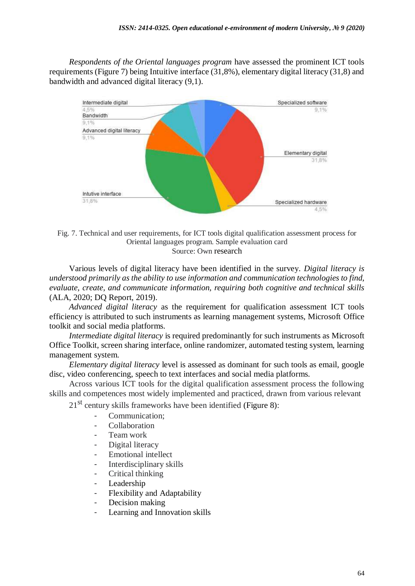*Respondents of the Oriental languages program* have assessed the prominent ICT tools requirements (Figure 7) being Intuitive interface (31,8%), elementary digital literacy (31,8) and bandwidth and advanced digital literacy (9,1).



Fig. 7. Technical and user requirements, for ICT tools digital qualification assessment process for Oriental languages program. Sample evaluation card Source: Own research

Various levels of digital literacy have been identified in the survey. *Digital literacy is understood primarily as the ability to use information and communication technologies to find, evaluate, create, and communicate information, requiring both cognitive and technical skills*  (ALA, 2020; [DQ Report, 2019\).](https://www.dqinstitute.org/wp-content/uploads/2019/03/DQGlobalStandardsReport2019.pdf)

*Advanced digital literacy* as the requirement for qualification assessment ICT tools efficiency is attributed to such instruments as learning management systems, Microsoft Office toolkit and social media platforms.

*Intermediate digital literacy* is required predominantly for such instruments as Microsoft Office Toolkit, screen sharing interface, online randomizer, automated testing system, learning management system.

*Elementary digital literacy* level is assessed as dominant for such tools as email, google disc, video conferencing, speech to text interfaces and social media platforms.

Across various ICT tools for the digital qualification assessment process the following skills and competences most widely implemented and practiced, drawn from various relevant

 $21<sup>st</sup>$  century skills frameworks have been identified (Figure 8):

- Communication:
- Collaboration
- Team work
- Digital literacy
- Emotional intellect
- Interdisciplinary skills
- Critical thinking
- Leadership
- Flexibility and Adaptability
- Decision making
- Learning and Innovation skills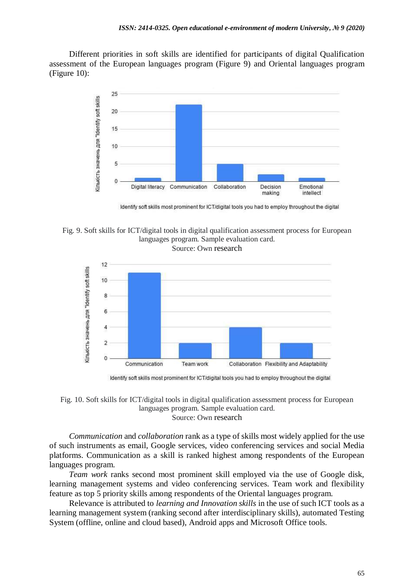Different priorities in soft skills are identified for participants of digital Qualification assessment of the European languages program (Figure 9) and Oriental languages program (Figure 10):



Identify soft skills most prominent for ICT/digital tools you had to employ throughout the digital

Fig. 9. Soft skills for ICT/digital tools in digital qualification assessment process for European languages program. Sample evaluation card.

Source: Own research



Identify soft skills most prominent for ICT/digital tools you had to employ throughout the digital

Fig. 10. Soft skills for ICT/digital tools in digital qualification assessment process for European languages program. Sample evaluation card. Source: Own research

*Communication* and *collaboration* rank as a type of skills most widely applied for the use of such instruments as email, Google services, video conferencing services and social Media platforms. Communication as a skill is ranked highest among respondents of the European languages program.

*Team work* ranks second most prominent skill employed via the use of Google disk, learning management systems and video conferencing services. Team work and flexibility feature as top 5 priority skills among respondents of the Oriental languages program.

Relevance is attributed to *learning and Innovation skills* in the use of such ICT tools as a learning management system (ranking second after interdisciplinary skills), automated Testing System (offline, online and cloud based), Android apps and Microsoft Office tools.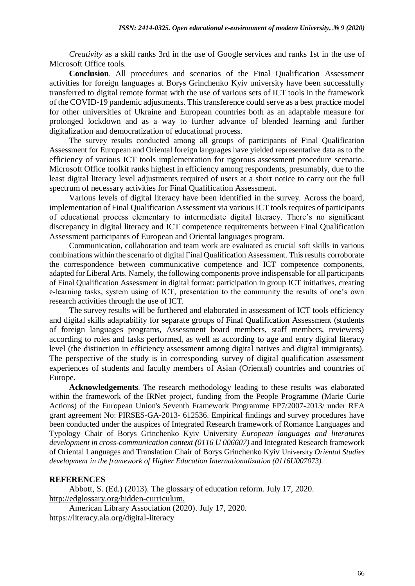*Creativity* as a skill ranks 3rd in the use of Google services and ranks 1st in the use of Microsoft Office tools.

**Conclusion**. All procedures and scenarios of the Final Qualification Assessment activities for foreign languages at Borys Grinchenko Kyiv university have been successfully transferred to digital remote format with the use of various sets of ICT tools in the framework of the COVID-19 pandemic adjustments. This transference could serve as a best practice model for other universities of Ukraine and European countries both as an adaptable measure for prolonged lockdown and as a way to further advance of blended learning and further digitalization and democratization of educational process.

The survey results conducted among all groups of participants of Final Qualification Assessment for European and Oriental foreign languages have yielded representative data as to the efficiency of various ICT tools implementation for rigorous assessment procedure scenario. Microsoft Office toolkit ranks highest in efficiency among respondents, presumably, due to the least digital literacy level adjustments required of users at a short notice to carry out the full spectrum of necessary activities for Final Qualification Assessment.

Various levels of digital literacy have been identified in the survey. Across the board, implementation of Final Qualification Assessment via various ICT tools requires of participants of educational process elementary to intermediate digital literacy. There's no significant discrepancy in digital literacy and ICT competence requirements between Final Qualification Assessment participants of European and Oriental languages program.

Communication, collaboration and team work are evaluated as crucial soft skills in various combinations within the scenario of digital Final Qualification Assessment. This results corroborate the correspondence between communicative competence and ICT competence components, adapted for Liberal Arts. Namely, the following components prove indispensable for all participants of Final Qualification Assessment in digital format: participation in group ICT initiatives, creating e-learning tasks, system using of ICT, presentation to the community the results of one's own research activities through the use of ICT.

The survey results will be furthered and elaborated in assessment of ICT tools efficiency and digital skills adaptability for separate groups of Final Qualification Assessment (students of foreign languages programs, Assessment board members, staff members, reviewers) according to roles and tasks performed, as well as according to age and entry digital literacy level (the distinction in efficiency assessment among digital natives and digital immigrants). The perspective of the study is in corresponding survey of digital qualification assessment experiences of students and faculty members of Asian (Oriental) countries and countries of Europe.

**Acknowledgements**. The research methodology leading to these results was elaborated within the framework of the IRNet project, funding from the People Programme (Marie Curie Actions) of the European Union's Seventh Framework Programme FP7/2007-2013/ under REA grant agreement No: PIRSES-GA-2013- 612536. Empirical findings and survey procedures have been conducted under the auspices of Integrated Research framework of Romance Languages and Typology Chair of Borys Grinchenko Kyiv University *European languages and literatures development in cross-communication context (0116 U 006607)* and Integrated Research framework of Oriental Languages and Translation Chair of Borys Grinchenko Kyiv University *Oriental Studies development in the framework of Higher Education Internationalization (0116U007073).*

#### **REFERENCES**

Abbott, S. (Ed.) (2013). The glossary of education reform. July 17, 2020. <http://edglossary.org/hidden-curriculum.>

American Library Association (2020). July 17, 2020. <https://literacy.ala.org/digital-literacy>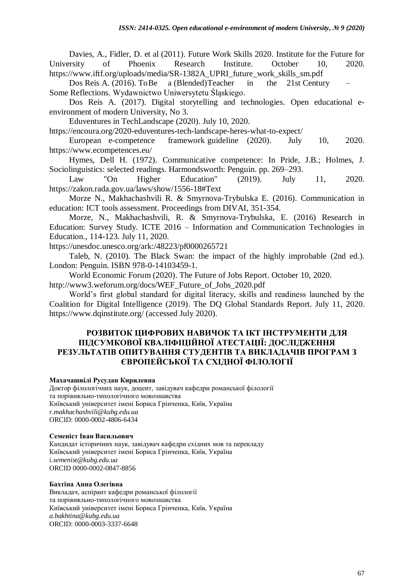Davies, A., Fidler, D. et al (2011). Future Work Skills 2020. Institute for the Future for University of Phoenix Research Institute. October 10, 2020. [https://www.iftf.org/uploads/media/SR-1382A\\_UPRI\\_future\\_work\\_skills\\_sm.pdf](https://www.iftf.org/uploads/media/SR-1382A_UPRI_future_work_skills_sm.pdf) 

Dos Reis A. (2016). ToBe a (Blended)Teacher in the 21st Century – Some Reflections. Wydawnictwo Uniwersytetu Śląskiego.

Dos Reis A. (2017). [Digital storytelling and technologies. O](https://openedu.kubg.edu.ua/journal/index.php/openedu/article/view/106)pen educational eenvironment of modern University, No 3.

Eduventures in TechLandscape (2020). July 10, 2020.

https://encoura.org/2020-eduventures[-tech-landscape-heres-what-to-expect/](https://encoura.org/2020-eduventures-tech-landscape-heres-what-to-expect/) 

European e-competence framework guideline (2020). July 10, 2020. <https://www.ecompetences.eu/>

Hymes, Dell H. (1972). Communicative competence: In Pride, J.B.; Holmes, J. Sociolinguistics: selected readings. Harmondsworth: Penguin. pp. 269–293.

Law "On Higher Education" (2019). July 11, 2020. <https://zakon.rada.gov.ua/laws/show/1556-18#Text>

Morze N., Makhachashvili R. & Smyrnova-Trybulska E. (2016). [Communication in](about:blank)  [education:](about:blank) [ICT tools assessment. P](about:blank)roceedings from DIVAI, 351-354.

Morze, N., Makhachashvili, R. & Smyrnova-Trybulska, E. (2016) Research in Education: Survey Study. ICTE 2016 – Information and Communication Technologies in Education., 114-123. July 11, 2020.

<https://unesdoc.unesco.org/ark:/48223/pf0000265721>

Taleb, N. (2010). [The Black Swan: the impact of the highly improbable \(](https://www.google.com/books/edition/_/YdOYmYA2TJYC?hl=en&gbpv=0)2nd ed.). London: Penguin. [ISBN 978-0-14103459-1.](https://en.wikipedia.org/wiki/ISBN_(identifier))

World Economic Forum (2020). The Future of Jobs Report. October 10, 2020. [http://www3.weforum.org/docs/WEF\\_Future\\_of\\_Jobs\\_2020.pdf](http://www3.weforum.org/docs/WEF_Future_of_Jobs_2020.pdf)

World's first global standard for digital literacy, skills and readiness launched by the Coalition for Digital Intelligence (2019). [The DQ Global Standards Report. July 11, 2020.](about:blank)  [https://www.dqinstitute.org/ \(accessed July 2020\).](about:blank)

# **РОЗВИТОК ЦИФРОВИХ НАВИЧОК ТА ІКТ ІНСТРУМЕНТИ ДЛЯ ПІДСУМКОВОЇ КВАЛІФІЦІЙНОЇ АТЕСТАЦІЇ: ДОСЛІДЖЕННЯ РЕЗУЛЬТАТІВ ОПИТУВАННЯ СТУДЕНТІВ ТА ВИКЛАДАЧІВ ПРОГРАМ З ЄВРОПЕЙСЬКОЇ ТА СХІДНОЇ ФІЛОЛОГІЇ**

## **Махачашвілі Русудан Кирилевна**

Доктор філологічних наук, доцент, завідувач кафедри романської філології та порівняльно-типологічного мовознавства Київський університет імені Бориса Грінченка, Київ, Україна *[r.makhachashvili@kubg.edu.ua](mailto:r.makhachashvili@kubg.edu.ua)* ORCID: 0000-0002-4806-6434

#### **Семеніст Іван Васильович**

Кандидат історичних наук, завідувач кафедри східних мов та перекладу Київський університет імені Бориса Грінченка, Київ, Україна *[i.semenist@kubg.edu.ua](mailto:i.semenist@kubg.edu.ua)* ORCID 0000-0002-0847-8856

#### **Бахтіна Анна Олегівна**

Викладач, аспірант кафедри романської філології та порівняльно-типологічного мовознавства Київський університет імені Бориса Грінченка, Київ, Україна *a.bakhtina@kubg.edu.ua* ORCID: 0000-0003-3337-6648